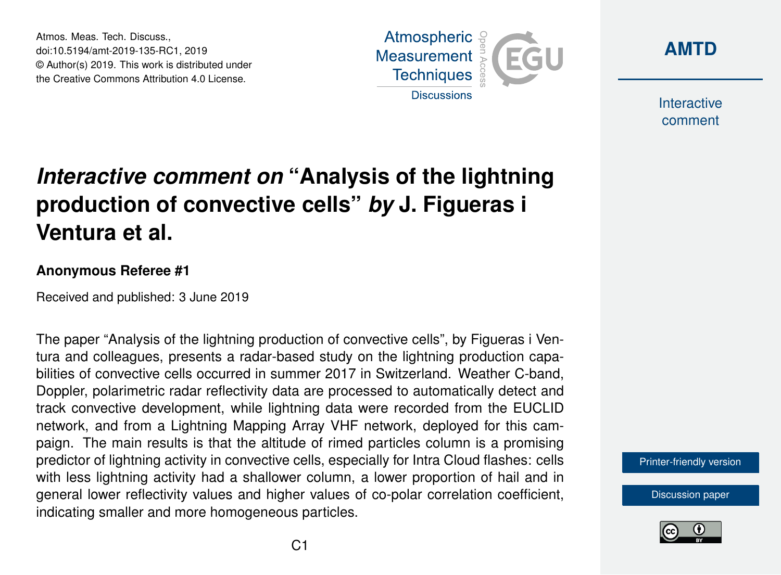Atmos. Meas. Tech. Discuss., doi:10.5194/amt-2019-135-RC1, 2019 © Author(s) 2019. This work is distributed under the Creative Commons Attribution 4.0 License.





Interactive comment

## *Interactive comment on* **"Analysis of the lightning production of convective cells"** *by* **J. Figueras i Ventura et al.**

## **Anonymous Referee #1**

Received and published: 3 June 2019

The paper "Analysis of the lightning production of convective cells", by Figueras i Ventura and colleagues, presents a radar-based study on the lightning production capabilities of convective cells occurred in summer 2017 in Switzerland. Weather C-band, Doppler, polarimetric radar reflectivity data are processed to automatically detect and track convective development, while lightning data were recorded from the EUCLID network, and from a Lightning Mapping Array VHF network, deployed for this campaign. The main results is that the altitude of rimed particles column is a promising predictor of lightning activity in convective cells, especially for Intra Cloud flashes: cells with less lightning activity had a shallower column, a lower proportion of hail and in general lower reflectivity values and higher values of co-polar correlation coefficient, indicating smaller and more homogeneous particles.

[Printer-friendly version](https://www.atmos-meas-tech-discuss.net/amt-2019-135/amt-2019-135-RC1-print.pdf)

[Discussion paper](https://www.atmos-meas-tech-discuss.net/amt-2019-135)